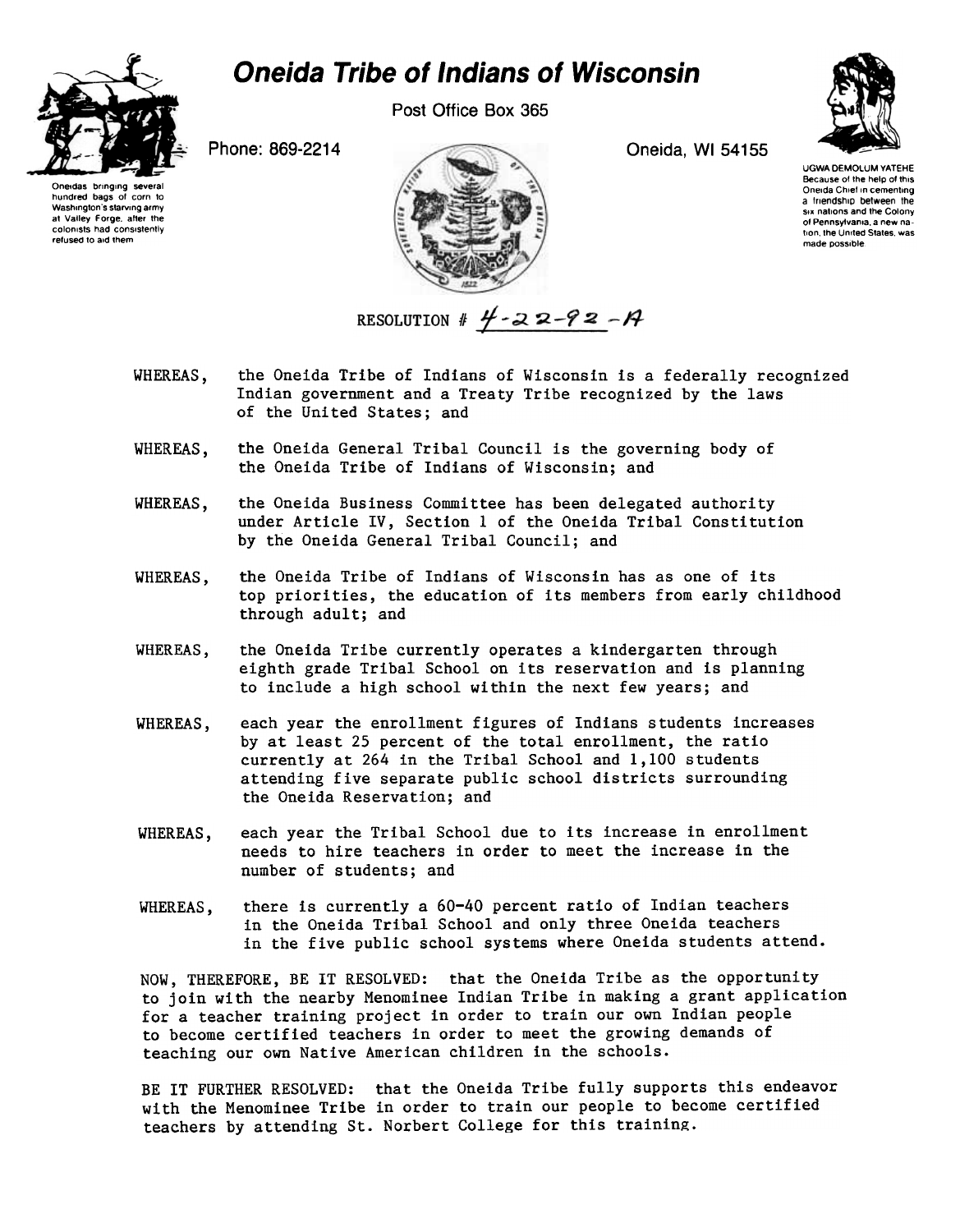

hundred bags of corn to<br>Washington's starving army Washington's starving army<br>at Valley Forge, after the colonists had consistently refused to aid them

Post Office Box 365



UGWA DEMOLUM YATEHE Because of the help of this a triendship between the<br>six nations and the Colony of Pennsylvania, a new nation the United States was made possible.



RESOLUTION #  $4 - 22 - 92 - 14$ 

- WHEREAS, the Oneida Tribe of Indians of Wisconsin is a federally recognized Indian government and a Treaty Tribe recognized by the laws of the United States; and
- WHEREAS, the Oneida General Tribal Council is the governing body of the Oneida Tribe of Indians of Wisconsin; and
- WHEREAS, the Oneida Business Committee has been delegated authority under Article IV, Section 1 of the Oneida Tribal Constitution by the Oneida General Tribal Council; and
- WHEREAS, the Oneida Tribe of Indians of Wisconsin has as one of its top priorities, the education of its members from early childhood through adult; and
- WHEREAS, the Oneida Tribe currently operates a kindergarten through eighth grade Tribal School on its reservation and is planning to include a high school within the next few years; and
- WHEREAS, each year the enrollment figures of Indians students increases by at least 25 percent of the total enrollment, the ratio currently at 264 in the Tribal School and 1,100 students attending five separate public school districts surrounding the Oneida Reservation; and
- WHEREAS, each year the Tribal School due to its increase in enrollment needs to hire teachers in order to meet the increase in the number of students; and
- WHEREAS, there is currently a 60-40 percent ratio of Indian teachers in the Oneida Tribal School and only three Oneida teachers in the five public school systems where Oneida students attend.

NOW, THEREFORE, BE IT RESOLVED: that the Oneida Tribe as the opportunity to join with the nearby Menominee Indian Tribe in making a grant application for a teacher training project in order to train our own Indian people to become certified teachers in order to meet the growing demands of teaching our own Native American children in the schools.

BE IT FURTHER RESOLVED: that the Oneida Tribe fully supports this endeavor with the Menominee Tribe in order to train our people to become certified teachers by attending St. Norbert College for this training.